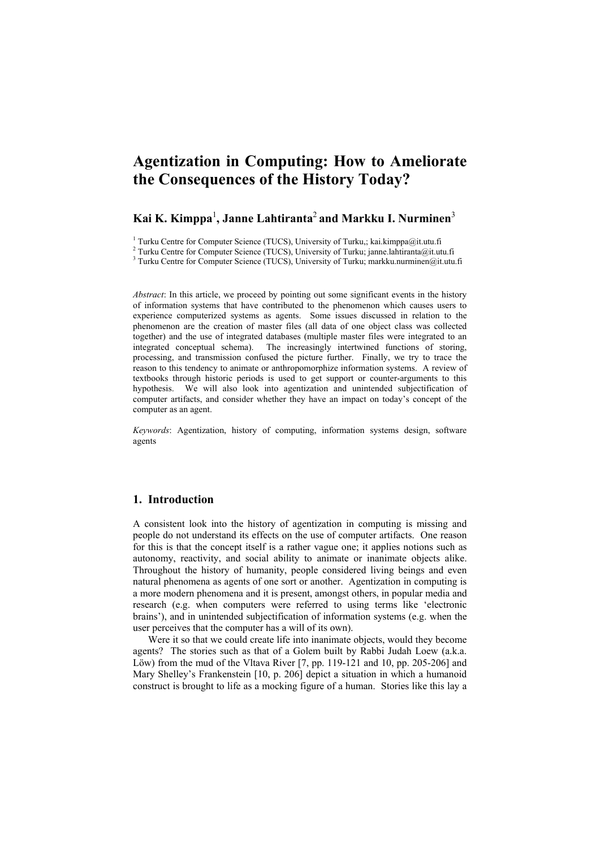# **Agentization in Computing: How to Ameliorate the Consequences of the History Today?**

# **Kai K. Kimppa**<sup>1</sup> **, Janne Lahtiranta**<sup>2</sup> **and Markku I. Nurminen**<sup>3</sup>

<sup>1</sup> Turku Centre for Computer Science (TUCS), University of Turku,; kai.kimppa@it.utu.fi<br><sup>2</sup> Turku Centre for Computer Science (TUCS), University of Turku; ionne labijuate@it.ut

<sup>2</sup> Turku Centre for Computer Science (TUCS), University of Turku; janne.lahtiranta@it.utu.fi

<sup>3</sup> Turku Centre for Computer Science (TUCS), University of Turku; markku.nurminen@it.utu.fi

*Abstract*: In this article, we proceed by pointing out some significant events in the history of information systems that have contributed to the phenomenon which causes users to experience computerized systems as agents. Some issues discussed in relation to the phenomenon are the creation of master files (all data of one object class was collected together) and the use of integrated databases (multiple master files were integrated to an integrated conceptual schema). The increasingly intertwined functions of storing, processing, and transmission confused the picture further. Finally, we try to trace the reason to this tendency to animate or anthropomorphize information systems. A review of textbooks through historic periods is used to get support or counter-arguments to this hypothesis. We will also look into agentization and unintended subjectification of computer artifacts, and consider whether they have an impact on today's concept of the computer as an agent.

*Keywords*: Agentization, history of computing, information systems design, software agents

#### **1. Introduction**

A consistent look into the history of agentization in computing is missing and people do not understand its effects on the use of computer artifacts. One reason for this is that the concept itself is a rather vague one; it applies notions such as autonomy, reactivity, and social ability to animate or inanimate objects alike. Throughout the history of humanity, people considered living beings and even natural phenomena as agents of one sort or another. Agentization in computing is a more modern phenomena and it is present, amongst others, in popular media and research (e.g. when computers were referred to using terms like 'electronic brains'), and in unintended subjectification of information systems (e.g. when the user perceives that the computer has a will of its own).

<span id="page-0-2"></span><span id="page-0-1"></span><span id="page-0-0"></span>Were it so that we could create life into inanimate objects, would they become agents? The stories such as that of a Golem built by Rabbi Judah Loew (a.k.a. Löw) from the mud of the Vltava River [7, pp. 119-121 and 10, pp. 205-206] and Mary Shelley's Frankenstein [10, p. 206] depict a situation in which a humanoid construct is brought to life as a mocking figure of a human. Stories like this lay a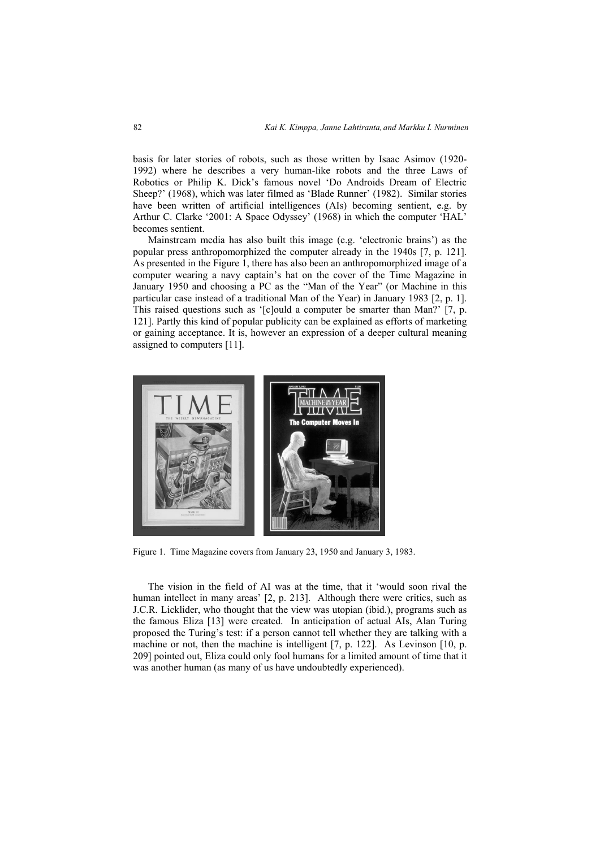basis for later stories of robots, such as those written by Isaac Asimov (1920- 1992) where he describes a very human-like robots and the three Laws of Robotics or Philip K. Dick's famous novel 'Do Androids Dream of Electric Sheep?' (1968), which was later filmed as 'Blade Runner' (1982). Similar stories have been written of artificial intelligences (AIs) becoming sentient, e.g. by Arthur C. Clarke '2001: A Space Odyssey' (1968) in which the computer 'HAL' becomes sentient.

Mainstream media has also built this image (e.g. 'electronic brains') as the popular press anthropomorphized the computer already in the 1940s [7, p. 121]. As presented in the Figure 1, there has also been an anthropomorphized image of a computer wearing a navy captain's hat on the cover of the Time Magazine in January 1950 and choosing a PC as the "Man of the Year" (or Machine in this particular case instead of a traditional Man of the Year) in January 1983 [2, p. 1]. This raised questions such as '[c]ould a computer be smarter than Man?' [7, p. 121]. Partly this kind of popular publicity can be explained as efforts of marketing or gaining acceptance. It is, however an expression of a deeper cultural meaning assigned to computers [11].



Figure 1. Time Magazine covers from January 23, 1950 and January 3, 1983.

The vision in the field of AI was at the time, that it 'would soon rival the human intellect in many areas' [2, p. 213]. Although there were critics, such as J.C.R. Licklider, who thought that the view was utopian (ibid.), programs such as the famous Eliza [13] were created. In anticipation of actual AIs, Alan Turing proposed the Turing's test: if a person cannot tell whether they are talking with a machine or not, then the machine is intelligent [7, p. 122]. As Levinson [10, p. 209] pointed out, Eliza could only fool humans for a limited amount of time that it was another human (as many of us have undoubtedly experienced).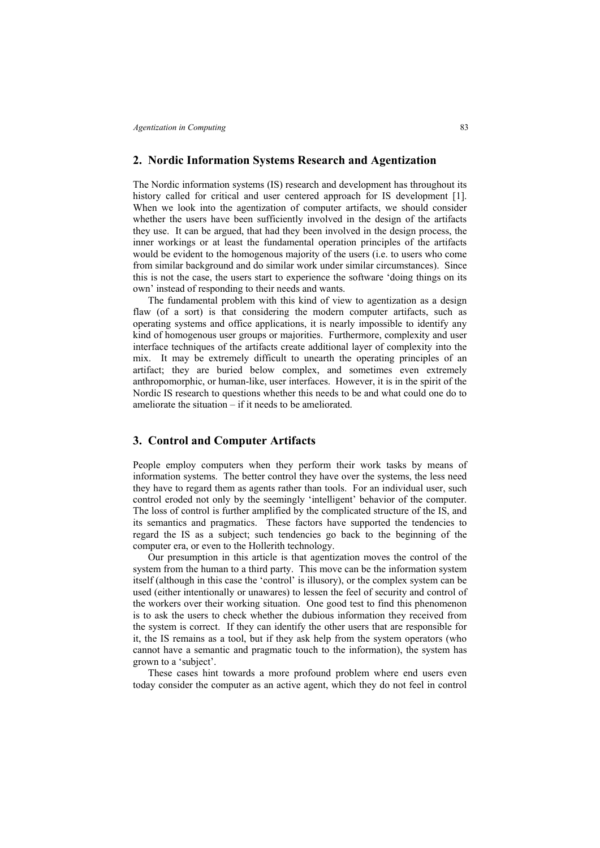#### **2. Nordic Information Systems Research and Agentization**

The Nordic information systems (IS) research and development has throughout its history called for critical and user centered approach for IS development [1]. When we look into the agentization of computer artifacts, we should consider whether the users have been sufficiently involved in the design of the artifacts they use. It can be argued, that had they been involved in the design process, the inner workings or at least the fundamental operation principles of the artifacts would be evident to the homogenous majority of the users (i.e. to users who come from similar background and do similar work under similar circumstances). Since this is not the case, the users start to experience the software 'doing things on its own' instead of responding to their needs and wants.

The fundamental problem with this kind of view to agentization as a design flaw (of a sort) is that considering the modern computer artifacts, such as operating systems and office applications, it is nearly impossible to identify any kind of homogenous user groups or majorities. Furthermore, complexity and user interface techniques of the artifacts create additional layer of complexity into the mix. It may be extremely difficult to unearth the operating principles of an artifact; they are buried below complex, and sometimes even extremely anthropomorphic, or human-like, user interfaces. However, it is in the spirit of the Nordic IS research to questions whether this needs to be and what could one do to ameliorate the situation – if it needs to be ameliorated.

#### **3. Control and Computer Artifacts**

People employ computers when they perform their work tasks by means of information systems. The better control they have over the systems, the less need they have to regard them as agents rather than tools. For an individual user, such control eroded not only by the seemingly 'intelligent' behavior of the computer. The loss of control is further amplified by the complicated structure of the IS, and its semantics and pragmatics. These factors have supported the tendencies to regard the IS as a subject; such tendencies go back to the beginning of the computer era, or even to the Hollerith technology.

Our presumption in this article is that agentization moves the control of the system from the human to a third party. This move can be the information system itself (although in this case the 'control' is illusory), or the complex system can be used (either intentionally or unawares) to lessen the feel of security and control of the workers over their working situation. One good test to find this phenomenon is to ask the users to check whether the dubious information they received from the system is correct. If they can identify the other users that are responsible for it, the IS remains as a tool, but if they ask help from the system operators (who cannot have a semantic and pragmatic touch to the information), the system has grown to a 'subject'.

These cases hint towards a more profound problem where end users even today consider the computer as an active agent, which they do not feel in control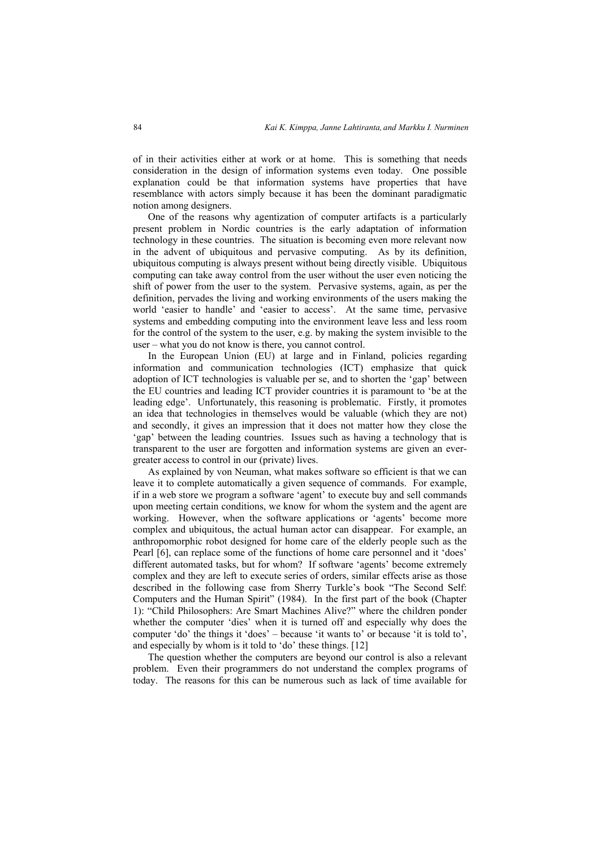of in their activities either at work or at home. This is something that needs consideration in the design of information systems even today. One possible explanation could be that information systems have properties that have resemblance with actors simply because it has been the dominant paradigmatic notion among designers.

One of the reasons why agentization of computer artifacts is a particularly present problem in Nordic countries is the early adaptation of information technology in these countries. The situation is becoming even more relevant now in the advent of ubiquitous and pervasive computing. As by its definition, ubiquitous computing is always present without being directly visible. Ubiquitous computing can take away control from the user without the user even noticing the shift of power from the user to the system. Pervasive systems, again, as per the definition, pervades the living and working environments of the users making the world 'easier to handle' and 'easier to access'. At the same time, pervasive systems and embedding computing into the environment leave less and less room for the control of the system to the user, e.g. by making the system invisible to the user – what you do not know is there, you cannot control.

In the European Union (EU) at large and in Finland, policies regarding information and communication technologies (ICT) emphasize that quick adoption of ICT technologies is valuable per se, and to shorten the 'gap' between the EU countries and leading ICT provider countries it is paramount to 'be at the leading edge'. Unfortunately, this reasoning is problematic. Firstly, it promotes an idea that technologies in themselves would be valuable (which they are not) and secondly, it gives an impression that it does not matter how they close the 'gap' between the leading countries. Issues such as having a technology that is transparent to the user are forgotten and information systems are given an evergreater access to control in our (private) lives.

As explained by von Neuman, what makes software so efficient is that we can leave it to complete automatically a given sequence of commands. For example, if in a web store we program a software 'agent' to execute buy and sell commands upon meeting certain conditions, we know for whom the system and the agent are working. However, when the software applications or 'agents' become more complex and ubiquitous, the actual human actor can disappear. For example, an anthropomorphic robot designed for home care of the elderly people such as the Pearl [6], can replace some of the functions of home care personnel and it 'does' different automated tasks, but for whom? If software 'agents' become extremely complex and they are left to execute series of orders, similar effects arise as those described in the following case from Sherry Turkle's book "The Second Self: Computers and the Human Spirit" (1984). In the first part of the book (Chapter 1): "Child Philosophers: Are Smart Machines Alive?" where the children ponder whether the computer 'dies' when it is turned off and especially why does the computer 'do' the things it 'does' – because 'it wants to' or because 'it is told to', and especially by whom is it told to 'do' these things. [12]

The question whether the computers are beyond our control is also a relevant problem. Even their programmers do not understand the complex programs of today. The reasons for this can be numerous such as lack of time available for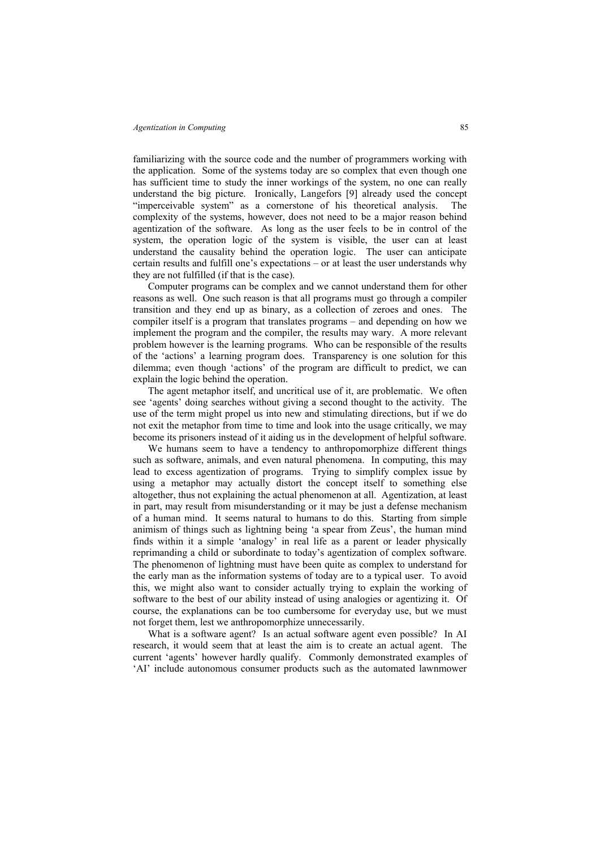familiarizing with the source code and the number of programmers working with the application. Some of the systems today are so complex that even though one has sufficient time to study the inner workings of the system, no one can really understand the big picture. Ironically, Langefors [9] already used the concept "imperceivable system" as a cornerstone of his theoretical analysis. The complexity of the systems, however, does not need to be a major reason behind agentization of the software. As long as the user feels to be in control of the system, the operation logic of the system is visible, the user can at least understand the causality behind the operation logic. The user can anticipate certain results and fulfill one's expectations – or at least the user understands why they are not fulfilled (if that is the case).

Computer programs can be complex and we cannot understand them for other reasons as well. One such reason is that all programs must go through a compiler transition and they end up as binary, as a collection of zeroes and ones. The compiler itself is a program that translates programs – and depending on how we implement the program and the compiler, the results may wary. A more relevant problem however is the learning programs. Who can be responsible of the results of the 'actions' a learning program does. Transparency is one solution for this dilemma; even though 'actions' of the program are difficult to predict, we can explain the logic behind the operation.

The agent metaphor itself, and uncritical use of it, are problematic. We often see 'agents' doing searches without giving a second thought to the activity. The use of the term might propel us into new and stimulating directions, but if we do not exit the metaphor from time to time and look into the usage critically, we may become its prisoners instead of it aiding us in the development of helpful software.

We humans seem to have a tendency to anthropomorphize different things such as software, animals, and even natural phenomena. In computing, this may lead to excess agentization of programs. Trying to simplify complex issue by using a metaphor may actually distort the concept itself to something else altogether, thus not explaining the actual phenomenon at all. Agentization, at least in part, may result from misunderstanding or it may be just a defense mechanism of a human mind. It seems natural to humans to do this. Starting from simple animism of things such as lightning being 'a spear from Zeus', the human mind finds within it a simple 'analogy' in real life as a parent or leader physically reprimanding a child or subordinate to today's agentization of complex software. The phenomenon of lightning must have been quite as complex to understand for the early man as the information systems of today are to a typical user. To avoid this, we might also want to consider actually trying to explain the working of software to the best of our ability instead of using analogies or agentizing it. Of course, the explanations can be too cumbersome for everyday use, but we must not forget them, lest we anthropomorphize unnecessarily.

What is a software agent? Is an actual software agent even possible? In AI research, it would seem that at least the aim is to create an actual agent. The current 'agents' however hardly qualify. Commonly demonstrated examples of 'AI' include autonomous consumer products such as the automated lawnmower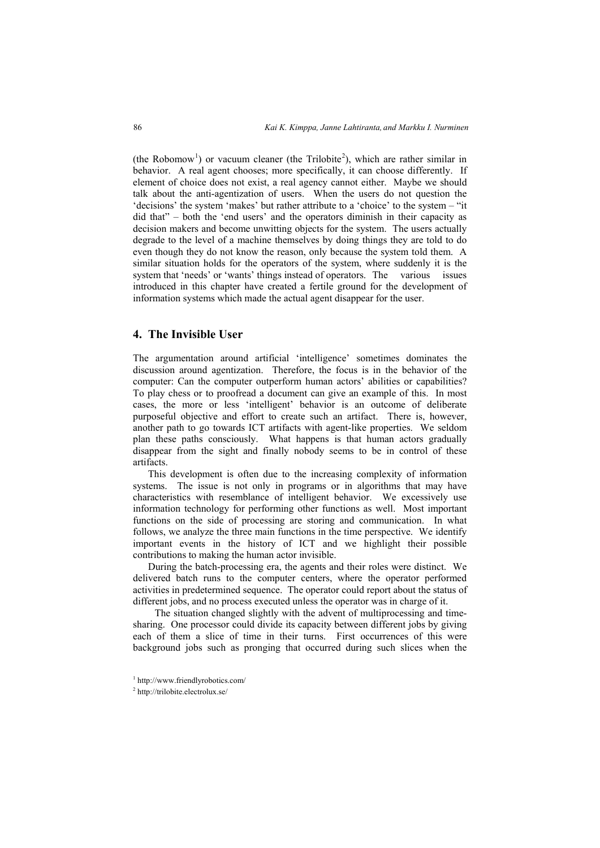(the Robomow<sup>[1](#page-0-0)</sup>) or vacuum cleaner (the Trilobite<sup>[2](#page-0-1)</sup>), which are rather similar in behavior. A real agent chooses; more specifically, it can choose differently. If element of choice does not exist, a real agency cannot either. Maybe we should talk about the anti-agentization of users. When the users do not question the 'decisions' the system 'makes' but rather attribute to a 'choice' to the system – "it did that" – both the 'end users' and the operators diminish in their capacity as decision makers and become unwitting objects for the system. The users actually degrade to the level of a machine themselves by doing things they are told to do even though they do not know the reason, only because the system told them. A similar situation holds for the operators of the system, where suddenly it is the system that 'needs' or 'wants' things instead of operators. The various issues introduced in this chapter have created a fertile ground for the development of information systems which made the actual agent disappear for the user.

## **4. The Invisible User**

The argumentation around artificial 'intelligence' sometimes dominates the discussion around agentization. Therefore, the focus is in the behavior of the computer: Can the computer outperform human actors' abilities or capabilities? To play chess or to proofread a document can give an example of this. In most cases, the more or less 'intelligent' behavior is an outcome of deliberate purposeful objective and effort to create such an artifact. There is, however, another path to go towards ICT artifacts with agent-like properties. We seldom plan these paths consciously. What happens is that human actors gradually disappear from the sight and finally nobody seems to be in control of these artifacts.

This development is often due to the increasing complexity of information systems. The issue is not only in programs or in algorithms that may have characteristics with resemblance of intelligent behavior. We excessively use information technology for performing other functions as well. Most important functions on the side of processing are storing and communication. In what follows, we analyze the three main functions in the time perspective. We identify important events in the history of ICT and we highlight their possible contributions to making the human actor invisible.

During the batch-processing era, the agents and their roles were distinct. We delivered batch runs to the computer centers, where the operator performed activities in predetermined sequence. The operator could report about the status of different jobs, and no process executed unless the operator was in charge of it.

 The situation changed slightly with the advent of multiprocessing and timesharing. One processor could divide its capacity between different jobs by giving each of them a slice of time in their turns. First occurrences of this were background jobs such as pronging that occurred during such slices when the

<sup>1</sup> http://www.friendlyrobotics.com/

<sup>2</sup> http://trilobite.electrolux.se/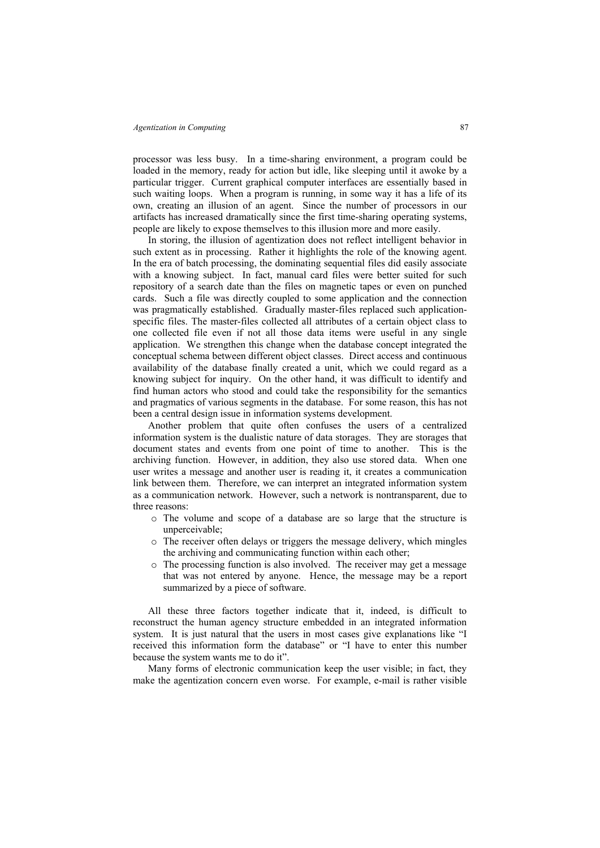processor was less busy. In a time-sharing environment, a program could be loaded in the memory, ready for action but idle, like sleeping until it awoke by a particular trigger. Current graphical computer interfaces are essentially based in such waiting loops. When a program is running, in some way it has a life of its own, creating an illusion of an agent. Since the number of processors in our artifacts has increased dramatically since the first time-sharing operating systems, people are likely to expose themselves to this illusion more and more easily.

In storing, the illusion of agentization does not reflect intelligent behavior in such extent as in processing. Rather it highlights the role of the knowing agent. In the era of batch processing, the dominating sequential files did easily associate with a knowing subject. In fact, manual card files were better suited for such repository of a search date than the files on magnetic tapes or even on punched cards. Such a file was directly coupled to some application and the connection was pragmatically established. Gradually master-files replaced such applicationspecific files. The master-files collected all attributes of a certain object class to one collected file even if not all those data items were useful in any single application. We strengthen this change when the database concept integrated the conceptual schema between different object classes. Direct access and continuous availability of the database finally created a unit, which we could regard as a knowing subject for inquiry. On the other hand, it was difficult to identify and find human actors who stood and could take the responsibility for the semantics and pragmatics of various segments in the database. For some reason, this has not been a central design issue in information systems development.

Another problem that quite often confuses the users of a centralized information system is the dualistic nature of data storages. They are storages that document states and events from one point of time to another. This is the archiving function. However, in addition, they also use stored data. When one user writes a message and another user is reading it, it creates a communication link between them. Therefore, we can interpret an integrated information system as a communication network. However, such a network is nontransparent, due to three reasons:

- o The volume and scope of a database are so large that the structure is unperceivable;
- o The receiver often delays or triggers the message delivery, which mingles the archiving and communicating function within each other;
- o The processing function is also involved. The receiver may get a message that was not entered by anyone. Hence, the message may be a report summarized by a piece of software.

All these three factors together indicate that it, indeed, is difficult to reconstruct the human agency structure embedded in an integrated information system. It is just natural that the users in most cases give explanations like "I received this information form the database" or "I have to enter this number because the system wants me to do it".

Many forms of electronic communication keep the user visible; in fact, they make the agentization concern even worse. For example, e-mail is rather visible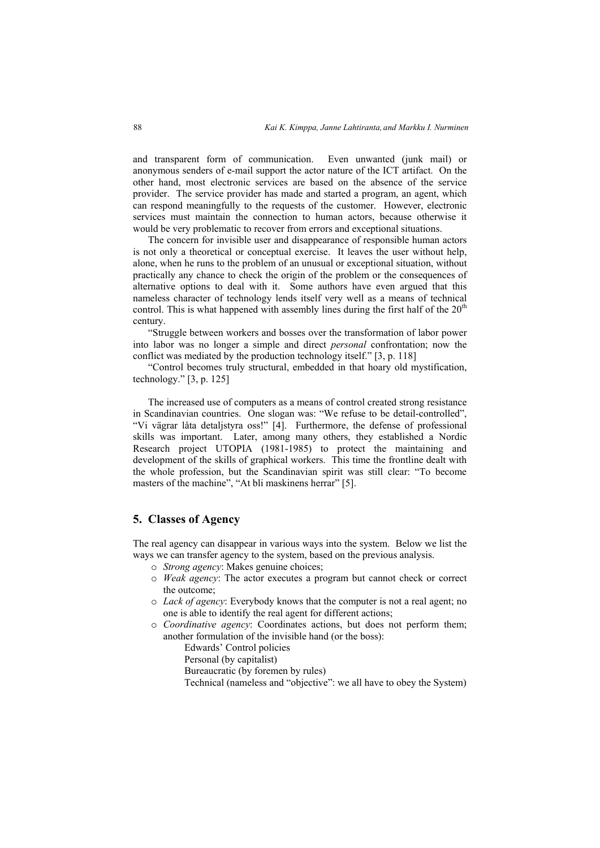and transparent form of communication. Even unwanted (junk mail) or anonymous senders of e-mail support the actor nature of the ICT artifact. On the other hand, most electronic services are based on the absence of the service provider. The service provider has made and started a program, an agent, which can respond meaningfully to the requests of the customer. However, electronic services must maintain the connection to human actors, because otherwise it would be very problematic to recover from errors and exceptional situations.

The concern for invisible user and disappearance of responsible human actors is not only a theoretical or conceptual exercise. It leaves the user without help, alone, when he runs to the problem of an unusual or exceptional situation, without practically any chance to check the origin of the problem or the consequences of alternative options to deal with it. Some authors have even argued that this nameless character of technology lends itself very well as a means of technical control. This is what happened with assembly lines during the first half of the  $20<sup>th</sup>$ century.

"Struggle between workers and bosses over the transformation of labor power into labor was no longer a simple and direct *personal* confrontation; now the conflict was mediated by the production technology itself." [3, p. 118]

"Control becomes truly structural, embedded in that hoary old mystification, technology." [3, p. 125]

The increased use of computers as a means of control created strong resistance in Scandinavian countries. One slogan was: "We refuse to be detail-controlled", "Vi vägrar låta detaljstyra oss!" [4]. Furthermore, the defense of professional skills was important. Later, among many others, they established a Nordic Research project UTOPIA (1981-1985) to protect the maintaining and development of the skills of graphical workers. This time the frontline dealt with the whole profession, but the Scandinavian spirit was still clear: "To become masters of the machine", "At bli maskinens herrar" [5].

## **5. Classes of Agency**

The real agency can disappear in various ways into the system. Below we list the ways we can transfer agency to the system, based on the previous analysis.

- o *Strong agency*: Makes genuine choices;
- o *Weak agency*: The actor executes a program but cannot check or correct the outcome;
- o *Lack of agency*: Everybody knows that the computer is not a real agent; no one is able to identify the real agent for different actions;
- o *Coordinative agency*: Coordinates actions, but does not perform them; another formulation of the invisible hand (or the boss):
	- Edwards' Control policies
	- Personal (by capitalist)
	- Bureaucratic (by foremen by rules)
	- Technical (nameless and "objective": we all have to obey the System)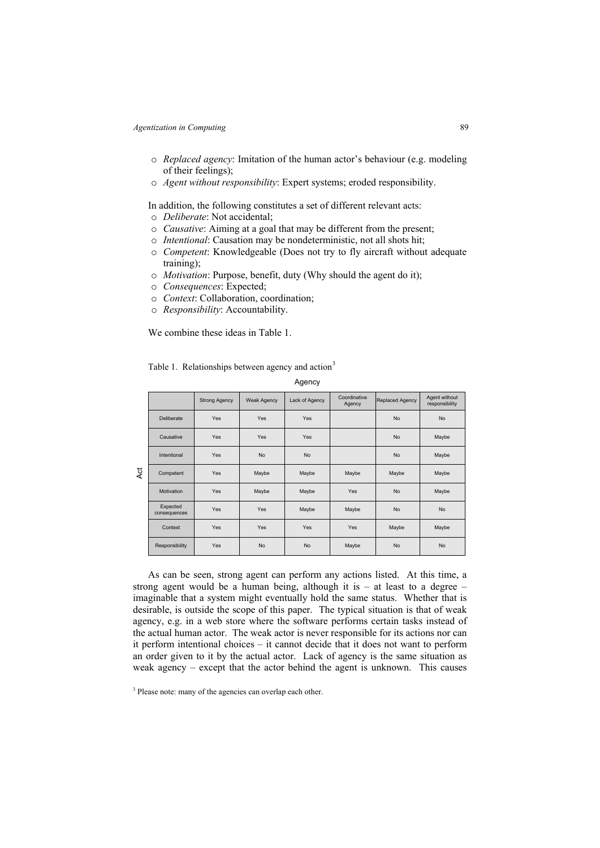- o *Replaced agency*: Imitation of the human actor's behaviour (e.g. modeling of their feelings);
- o *Agent without responsibility*: Expert systems; eroded responsibility.

In addition, the following constitutes a set of different relevant acts:

- o *Deliberate*: Not accidental;
- o *Causative*: Aiming at a goal that may be different from the present;
- o *Intentional*: Causation may be nondeterministic, not all shots hit;
- o *Competent*: Knowledgeable (Does not try to fly aircraft without adequate training);
- o *Motivation*: Purpose, benefit, duty (Why should the agent do it);
- o *Consequences*: Expected;
- o *Context*: Collaboration, coordination;
- o *Responsibility*: Accountability.

We combine these ideas in Table 1.

Table 1. Relationships between agency and action<sup>[3](#page-0-2)</sup>

|            | ັ                        |                      |                    |                |                        |                 |                                 |
|------------|--------------------------|----------------------|--------------------|----------------|------------------------|-----------------|---------------------------------|
|            |                          | <b>Strong Agency</b> | <b>Weak Agency</b> | Lack of Agency | Coordinative<br>Agency | Replaced Agency | Agent without<br>responsibility |
| <b>Act</b> | Deliberate               | Yes                  | Yes                | Yes            |                        | <b>No</b>       | <b>No</b>                       |
|            | Causative                | Yes                  | Yes                | Yes            |                        | <b>No</b>       | Maybe                           |
|            | Intentional              | Yes                  | <b>No</b>          | <b>No</b>      |                        | <b>No</b>       | Maybe                           |
|            | Competent                | Yes                  | Maybe              | Maybe          | Maybe                  | Maybe           | Maybe                           |
|            | Motivation               | Yes                  | Maybe              | Maybe          | Yes                    | <b>No</b>       | Maybe                           |
|            | Expected<br>consequences | Yes                  | Yes                | Maybe          | Maybe                  | <b>No</b>       | <b>No</b>                       |
|            | Context                  | Yes                  | Yes                | <b>Yes</b>     | Yes                    | Maybe           | Maybe                           |
|            | Responsibility           | Yes                  | <b>No</b>          | <b>No</b>      | Maybe                  | No              | <b>No</b>                       |

Agency

As can be seen, strong agent can perform any actions listed. At this time, a strong agent would be a human being, although it is  $-$  at least to a degree  $$ imaginable that a system might eventually hold the same status. Whether that is desirable, is outside the scope of this paper. The typical situation is that of weak agency, e.g. in a web store where the software performs certain tasks instead of the actual human actor. The weak actor is never responsible for its actions nor can it perform intentional choices – it cannot decide that it does not want to perform an order given to it by the actual actor. Lack of agency is the same situation as weak agency – except that the actor behind the agent is unknown. This causes

<sup>3</sup> Please note: many of the agencies can overlap each other.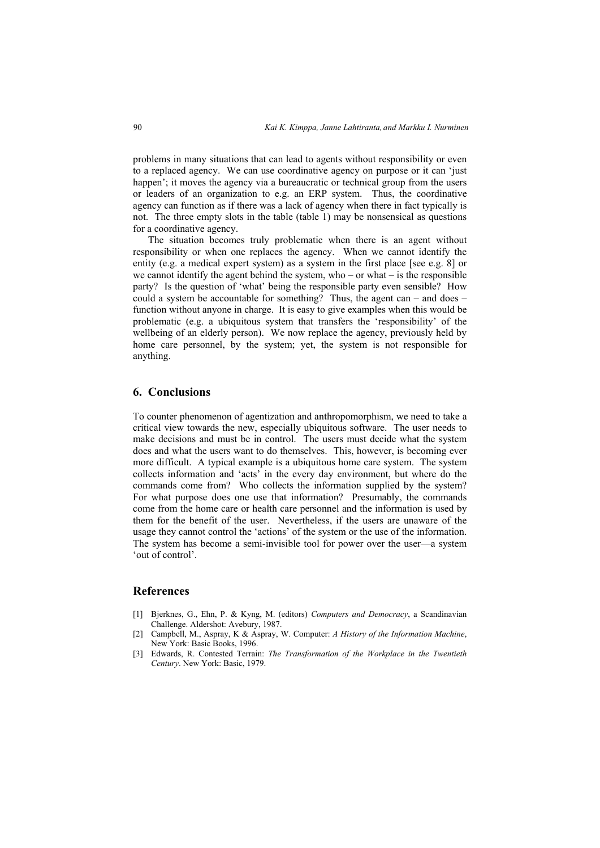problems in many situations that can lead to agents without responsibility or even to a replaced agency. We can use coordinative agency on purpose or it can 'just happen'; it moves the agency via a bureaucratic or technical group from the users or leaders of an organization to e.g. an ERP system. Thus, the coordinative agency can function as if there was a lack of agency when there in fact typically is not. The three empty slots in the table (table 1) may be nonsensical as questions for a coordinative agency.

The situation becomes truly problematic when there is an agent without responsibility or when one replaces the agency. When we cannot identify the entity (e.g. a medical expert system) as a system in the first place [see e.g. 8] or we cannot identify the agent behind the system, who – or what – is the responsible party? Is the question of 'what' being the responsible party even sensible? How could a system be accountable for something? Thus, the agent can – and does – function without anyone in charge. It is easy to give examples when this would be problematic (e.g. a ubiquitous system that transfers the 'responsibility' of the wellbeing of an elderly person). We now replace the agency, previously held by home care personnel, by the system; yet, the system is not responsible for anything.

#### **6. Conclusions**

To counter phenomenon of agentization and anthropomorphism, we need to take a critical view towards the new, especially ubiquitous software. The user needs to make decisions and must be in control. The users must decide what the system does and what the users want to do themselves. This, however, is becoming ever more difficult. A typical example is a ubiquitous home care system. The system collects information and 'acts' in the every day environment, but where do the commands come from? Who collects the information supplied by the system? For what purpose does one use that information? Presumably, the commands come from the home care or health care personnel and the information is used by them for the benefit of the user. Nevertheless, if the users are unaware of the usage they cannot control the 'actions' of the system or the use of the information. The system has become a semi-invisible tool for power over the user—a system 'out of control'.

#### **References**

- [1] Bjerknes, G., Ehn, P. & Kyng, M. (editors) *Computers and Democracy*, a Scandinavian Challenge. Aldershot: Avebury, 1987.
- [2] Campbell, M., Aspray, K & Aspray, W. Computer: *A History of the Information Machine*, New York: Basic Books, 1996.
- [3] Edwards, R. Contested Terrain: *The Transformation of the Workplace in the Twentieth Century*. New York: Basic, 1979.